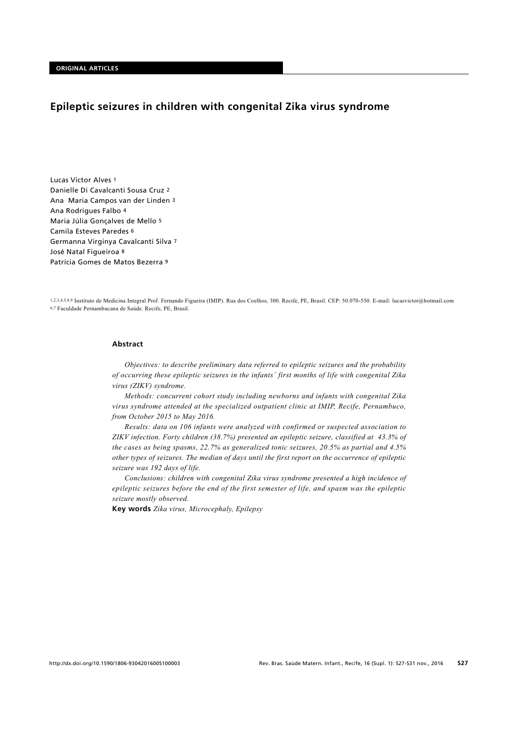# **Epileptic seizures in children with congenital Zika virus syndrome**

Lucas Victor Alves 1 Danielle Di Cavalcanti Sousa Cruz 2 Ana Maria Campos van der Linden 3 Ana Rodrigues Falbo 4 Maria Júlia Gonçalves de Mello 5 Camila Esteves Paredes 6 Germanna Virginya Cavalcanti Silva 7 José Natal Figueiroa 8 Patrícia Gomes de Matos Bezerra 9

1,2,3,4,5,8,9 Instituto de Medicina Integral Prof. Fernando Figueira (IMIP). Rua dos Coelhos, 300. Recife, PE, Brasil. CEP: 50.070-550. E-mail: lucasvictor@hotmail.com 6,7 Faculdade Pernambucana de Saúde. Recife, PE, Brasil.

#### **Abstract**

*Objectives: to describe preliminary data referred to epileptic seizures and the probability of occurring these epileptic seizures in the infants´ first months of life with congenital Zika virus (ZIKV) syndrome.* 

*Methods: concurrent cohort study including newborns and infants with congenital Zika virus syndrome attended at the specialized outpatient clinic at IMIP, Recife, Pernambuco, from October 2015 to May 2016.*

*Results: data on 106 infants were analyzed with confirmed or suspected association to ZIKV infection. Forty children (38.7%) presented an epileptic seizure, classified at 43.3% of the cases as being spasms, 22.7% as generalized tonic seizures, 20.5% as partial and 4.5% other types of seizures. The median of days until the first report on the occurrence of epileptic seizure was 192 days of life.* 

*Conclusions: children with congenital Zika virus syndrome presented a high incidence of epileptic seizures before the end of the first semester of life, and spasm was the epileptic seizure mostly observed.*

**Key words** *Zika virus, Microcephaly, Epilepsy*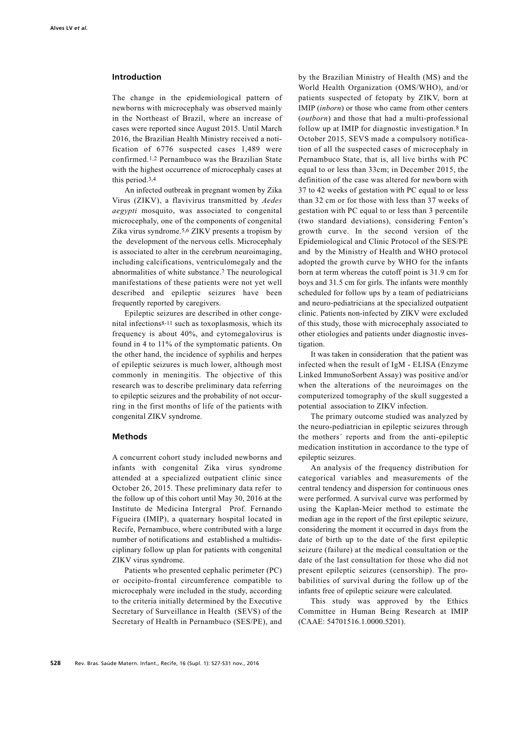#### **Introduction**

The change in the epidemiological pattern of newborns with microcephaly was observed mainly in the Northeast of Brazil, where an increase of cases were reported since August 2015. Until March 2016, the Brazilian Health Ministry received a notification of 6776 suspected cases 1,489 were confirmed.1,2 Pernambuco was the Brazilian State with the highest occurrence of microcephaly cases at this period.3,4

An infected outbreak in pregnant women by Zika Virus (ZIKV), a flavivirus transmitted by *Aedes aegypti* mosquito, was associated to congenital microcephaly, one of the components of congenital Zika virus syndrome.5,6 ZIKV presents a tropism by the development of the nervous cells. Microcephaly is associated to alter in the cerebrum neuroimaging, including calcifications, ventriculomegaly and the abnormalities of white substance.7 The neurological manifestations of these patients were not yet well described and epileptic seizures have been frequently reported by caregivers.

Epileptic seizures are described in other congenital infections8-11 such as toxoplasmosis, which its frequency is about 40%, and cytomegalovirus is found in 4 to 11% of the symptomatic patients. On the other hand, the incidence of syphilis and herpes of epileptic seizures is much lower, although most commonly in meningitis. The objective of this research was to describe preliminary data referring to epileptic seizures and the probability of not occurring in the first months of life of the patients with congenital ZIKV syndrome.

### **Methods**

A concurrent cohort study included newborns and infants with congenital Zika virus syndrome attended at a specialized outpatient clinic since October 26, 2015. These preliminary data refer to the follow up of this cohort until May 30, 2016 at the Instituto de Medicina Intergral Prof. Fernando Figueira (IMIP), a quaternary hospital located in Recife, Pernambuco, where contributed with a large number of notifications and established a multidisciplinary follow up plan for patients with congenital ZIKV virus syndrome.

Patients who presented cephalic perimeter (PC) or occipito-frontal circumference compatible to microcephaly were included in the study, according to the criteria initially determined by the Executive Secretary of Surveillance in Health (SEVS) of the Secretary of Health in Pernambuco (SES/PE), and

by the Brazilian Ministry of Health (MS) and the World Health Organization (OMS/WHO), and/or patients suspected of fetopaty by ZIKV, born at IMIP (*inborn*) or those who came from other centers (*outborn*) and those that had a multi-professional follow up at IMIP for diagnostic investigation.8 In October 2015, SEVS made a compulsory notification of all the suspected cases of microcephaly in Pernambuco State, that is, all live births with PC equal to or less than 33cm; in December 2015, the definition of the case was altered for newborn with 37 to 42 weeks of gestation with PC equal to or less than 32 cm or for those with less than 37 weeks of gestation with PC equal to or less than 3 percentile (two standard deviations), considering Fenton's growth curve. In the second version of the Epidemiological and Clinic Protocol of the SES/PE and by the Ministry of Health and WHO protocol adopted the growth curve by WHO for the infants born at term whereas the cutoff point is 31.9 cm for boys and 31.5 cm for girls. The infants were monthly scheduled for follow ups by a team of pediatricians and neuro-pediatricians at the specialized outpatient clinic. Patients non-infected by ZIKV were excluded of this study, those with microcephaly associated to other etiologies and patients under diagnostic investigation.

It was taken in consideration that the patient was infected when the result of IgM - ELISA (Enzyme Linked ImmunoSorbent Assay) was positive and/or when the alterations of the neuroimages on the computerized tomography of the skull suggested a potential association to ZIKV infection.

The primary outcome studied was analyzed by the neuro-pediatrician in epileptic seizures through the mothers´ reports and from the anti-epileptic medication institution in accordance to the type of epileptic seizures.

An analysis of the frequency distribution for categorical variables and measurements of the central tendency and dispersion for continuous ones were performed. A survival curve was performed by using the Kaplan-Meier method to estimate the median age in the report of the first epileptic seizure, considering the moment it occurred in days from the date of birth up to the date of the first epileptic seizure (failure) at the medical consultation or the date of the last consultation for those who did not present epileptic seizures (censorship). The probabilities of survival during the follow up of the infants free of epileptic seizure were calculated.

This study was approved by the Ethics Committee in Human Being Research at IMIP (CAAE: 54701516.1.0000.5201).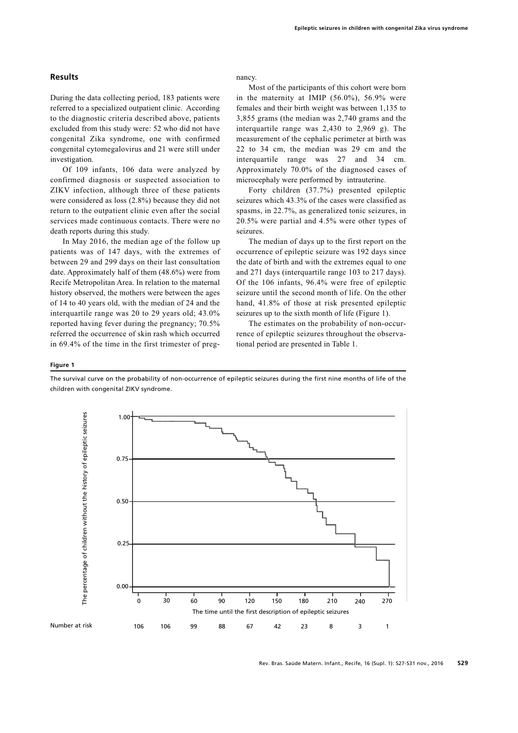### **Results**

During the data collecting period, 183 patients were referred to a specialized outpatient clinic. According to the diagnostic criteria described above, patients excluded from this study were: 52 who did not have congenital Zika syndrome, one with confirmed congenital cytomegalovirus and 21 were still under investigation.

Of 109 infants, 106 data were analyzed by confirmed diagnosis or suspected association to ZIKV infection, although three of these patients were considered as loss (2.8%) because they did not return to the outpatient clinic even after the social services made continuous contacts. There were no death reports during this study.

In May 2016, the median age of the follow up patients was of 147 days, with the extremes of between 29 and 299 days on their last consultation date. Approximately half of them (48.6%) were from Recife Metropolitan Area. In relation to the maternal history observed, the mothers were between the ages of 14 to 40 years old, with the median of 24 and the interquartile range was 20 to 29 years old; 43.0% reported having fever during the pregnancy; 70.5% referred the occurrence of skin rash which occurred in 69.4% of the time in the first trimester of pregnancy.

Most of the participants of this cohort were born in the maternity at IMIP (56.0%), 56.9% were females and their birth weight was between 1,135 to 3,855 grams (the median was 2,740 grams and the interquartile range was 2,430 to 2,969 g). The measurement of the cephalic perimeter at birth was 22 to 34 cm, the median was 29 cm and the interquartile range was 27 and 34 cm. Approximately 70.0% of the diagnosed cases of microcephaly were performed by intrauterine.

Forty children (37.7%) presented epileptic seizures which 43.3% of the cases were classified as spasms, in 22.7%, as generalized tonic seizures, in 20.5% were partial and 4.5% were other types of seizures.

The median of days up to the first report on the occurrence of epileptic seizure was 192 days since the date of birth and with the extremes equal to one and 271 days (interquartile range 103 to 217 days). Of the 106 infants, 96.4% were free of epileptic seizure until the second month of life. On the other hand, 41.8% of those at risk presented epileptic seizures up to the sixth month of life (Figure 1).

The estimates on the probability of non-occurrence of epileptic seizures throughout the observational period are presented in Table 1.

#### **Figure 1**

The survival curve on the probability of non-occurrence of epileptic seizures during the first nine months of life of the children with congenital ZIKV syndrome.

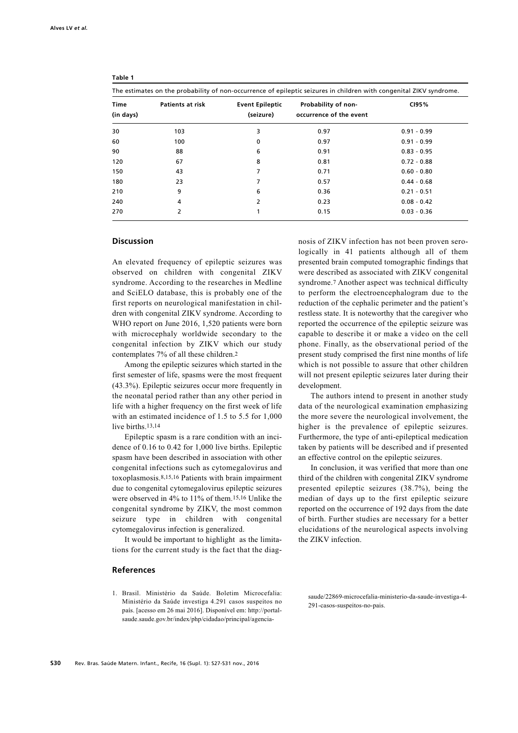| The estimates on the probability of non-occurrence of epileptic seizures in children with congenital ZIKV syndrome. |                         |                                     |                                                |               |
|---------------------------------------------------------------------------------------------------------------------|-------------------------|-------------------------------------|------------------------------------------------|---------------|
| Time<br>(in days)                                                                                                   | <b>Patients at risk</b> | <b>Event Epileptic</b><br>(seizure) | Probability of non-<br>occurrence of the event | CI95%         |
| 30                                                                                                                  | 103                     | 3                                   | 0.97                                           | $0.91 - 0.99$ |
| 60                                                                                                                  | 100                     | 0                                   | 0.97                                           | $0.91 - 0.99$ |
| 90                                                                                                                  | 88                      | 6                                   | 0.91                                           | $0.83 - 0.95$ |
| 120                                                                                                                 | 67                      | 8                                   | 0.81                                           | $0.72 - 0.88$ |
| 150                                                                                                                 | 43                      | 7                                   | 0.71                                           | $0.60 - 0.80$ |
| 180                                                                                                                 | 23                      | 7                                   | 0.57                                           | $0.44 - 0.68$ |
| 210                                                                                                                 | 9                       | 6                                   | 0.36                                           | $0.21 - 0.51$ |
| 240                                                                                                                 | 4                       | 2                                   | 0.23                                           | $0.08 - 0.42$ |
| 270                                                                                                                 | 2                       | 1                                   | 0.15                                           | $0.03 - 0.36$ |

#### **Table 1**

#### **Discussion**

An elevated frequency of epileptic seizures was observed on children with congenital ZIKV syndrome. According to the researches in Medline and SciELO database, this is probably one of the first reports on neurological manifestation in children with congenital ZIKV syndrome. According to WHO report on June 2016, 1,520 patients were born with microcephaly worldwide secondary to the congenital infection by ZIKV which our study contemplates 7% of all these children.2

Among the epileptic seizures which started in the first semester of life, spasms were the most frequent (43.3%). Epileptic seizures occur more frequently in the neonatal period rather than any other period in life with a higher frequency on the first week of life with an estimated incidence of 1.5 to 5.5 for 1,000 live births.13,14

Epileptic spasm is a rare condition with an incidence of 0.16 to 0.42 for 1,000 live births. Epileptic spasm have been described in association with other congenital infections such as cytomegalovirus and toxoplasmosis.8,15,16 Patients with brain impairment due to congenital cytomegalovirus epileptic seizures were observed in 4% to 11% of them.15,16 Unlike the congenital syndrome by ZIKV, the most common seizure type in children with congenital cytomegalovirus infection is generalized.

It would be important to highlight as the limitations for the current study is the fact that the diag-

## **References**

1. Brasil. Ministério da Saúde. Boletim Microcefalia: Ministério da Saúde investiga 4.291 casos suspeitos no país. [acesso em 26 mai 2016]. Disponível em: http://portalsaude.saude.gov.br/index/php/cidadao/principal/agencia-

nosis of ZIKV infection has not been proven serologically in 41 patients although all of them presented brain computed tomographic findings that were described as associated with ZIKV congenital syndrome.7 Another aspect was technical difficulty to perform the electroencephalogram due to the reduction of the cephalic perimeter and the patient's restless state. It is noteworthy that the caregiver who reported the occurrence of the epileptic seizure was capable to describe it or make a video on the cell phone. Finally, as the observational period of the present study comprised the first nine months of life which is not possible to assure that other children will not present epileptic seizures later during their development.

The authors intend to present in another study data of the neurological examination emphasizing the more severe the neurological involvement, the higher is the prevalence of epileptic seizures. Furthermore, the type of anti-epileptical medication taken by patients will be described and if presented an effective control on the epileptic seizures.

In conclusion, it was verified that more than one third of the children with congenital ZIKV syndrome presented epileptic seizures (38.7%), being the median of days up to the first epileptic seizure reported on the occurrence of 192 days from the date of birth. Further studies are necessary for a better elucidations of the neurological aspects involving the ZIKV infection.

saude/22869-microcefalia-ministerio-da-saude-investiga-4- 291-casos-suspeitos-no-pais.